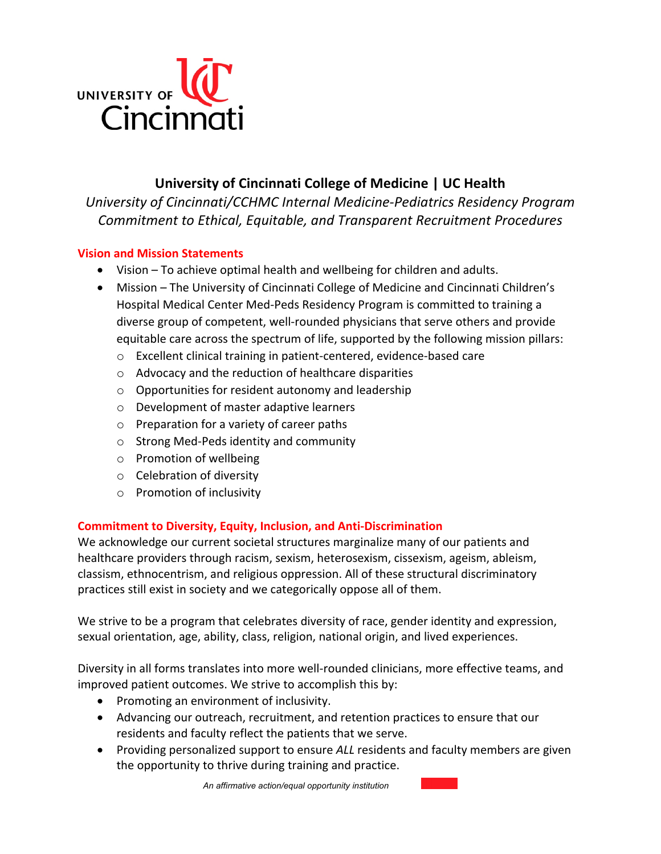

# **University of Cincinnati College of Medicine | UC Health**

*University of Cincinnati/CCHMC Internal Medicine-Pediatrics Residency Program Commitment to Ethical, Equitable, and Transparent Recruitment Procedures*

### **Vision and Mission Statements**

- Vision To achieve optimal health and wellbeing for children and adults.
- Mission The University of Cincinnati College of Medicine and Cincinnati Children's Hospital Medical Center Med-Peds Residency Program is committed to training a diverse group of competent, well-rounded physicians that serve others and provide equitable care across the spectrum of life, supported by the following mission pillars:
	- o Excellent clinical training in patient-centered, evidence-based care
	- o Advocacy and the reduction of healthcare disparities
	- o Opportunities for resident autonomy and leadership
	- o Development of master adaptive learners
	- o Preparation for a variety of career paths
	- o Strong Med-Peds identity and community
	- o Promotion of wellbeing
	- o Celebration of diversity
	- o Promotion of inclusivity

## **Commitment to Diversity, Equity, Inclusion, and Anti-Discrimination**

We acknowledge our current societal structures marginalize many of our patients and healthcare providers through racism, sexism, heterosexism, cissexism, ageism, ableism, classism, ethnocentrism, and religious oppression. All of these structural discriminatory practices still exist in society and we categorically oppose all of them.

We strive to be a program that celebrates diversity of race, gender identity and expression, sexual orientation, age, ability, class, religion, national origin, and lived experiences.

Diversity in all forms translates into more well-rounded clinicians, more effective teams, and improved patient outcomes. We strive to accomplish this by:

- Promoting an environment of inclusivity.
- Advancing our outreach, recruitment, and retention practices to ensure that our residents and faculty reflect the patients that we serve.
- Providing personalized support to ensure *ALL* residents and faculty members are given the opportunity to thrive during training and practice.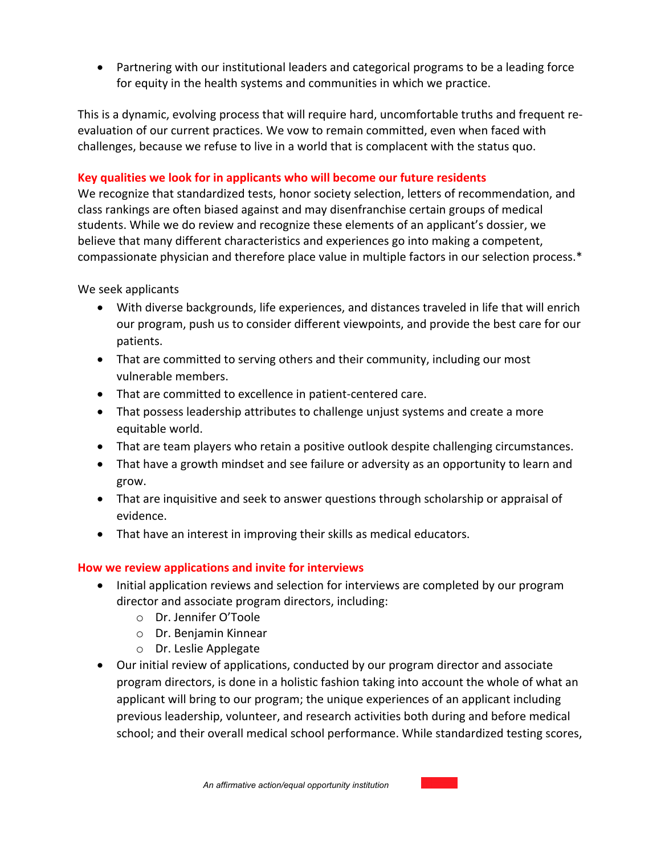• Partnering with our institutional leaders and categorical programs to be a leading force for equity in the health systems and communities in which we practice.

This is a dynamic, evolving process that will require hard, uncomfortable truths and frequent reevaluation of our current practices. We vow to remain committed, even when faced with challenges, because we refuse to live in a world that is complacent with the status quo.

## **Key qualities we look for in applicants who will become our future residents**

We recognize that standardized tests, honor society selection, letters of recommendation, and class rankings are often biased against and may disenfranchise certain groups of medical students. While we do review and recognize these elements of an applicant's dossier, we believe that many different characteristics and experiences go into making a competent, compassionate physician and therefore place value in multiple factors in our selection process.\*

We seek applicants

- With diverse backgrounds, life experiences, and distances traveled in life that will enrich our program, push us to consider different viewpoints, and provide the best care for our patients.
- That are committed to serving others and their community, including our most vulnerable members.
- That are committed to excellence in patient-centered care.
- That possess leadership attributes to challenge unjust systems and create a more equitable world.
- That are team players who retain a positive outlook despite challenging circumstances.
- That have a growth mindset and see failure or adversity as an opportunity to learn and grow.
- That are inquisitive and seek to answer questions through scholarship or appraisal of evidence.
- That have an interest in improving their skills as medical educators.

#### **How we review applications and invite for interviews**

- Initial application reviews and selection for interviews are completed by our program director and associate program directors, including:
	- o Dr. Jennifer O'Toole
	- o Dr. Benjamin Kinnear
	- o Dr. Leslie Applegate
- Our initial review of applications, conducted by our program director and associate program directors, is done in a holistic fashion taking into account the whole of what an applicant will bring to our program; the unique experiences of an applicant including previous leadership, volunteer, and research activities both during and before medical school; and their overall medical school performance. While standardized testing scores,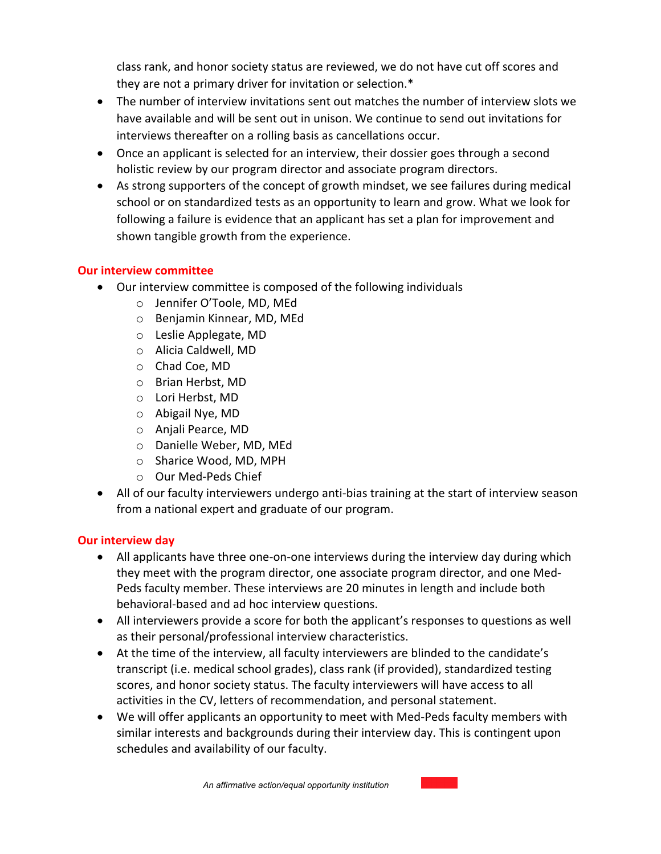class rank, and honor society status are reviewed, we do not have cut off scores and they are not a primary driver for invitation or selection.\*

- The number of interview invitations sent out matches the number of interview slots we have available and will be sent out in unison. We continue to send out invitations for interviews thereafter on a rolling basis as cancellations occur.
- Once an applicant is selected for an interview, their dossier goes through a second holistic review by our program director and associate program directors.
- As strong supporters of the concept of growth mindset, we see failures during medical school or on standardized tests as an opportunity to learn and grow. What we look for following a failure is evidence that an applicant has set a plan for improvement and shown tangible growth from the experience.

## **Our interview committee**

- Our interview committee is composed of the following individuals
	- o Jennifer O'Toole, MD, MEd
	- o Benjamin Kinnear, MD, MEd
	- o Leslie Applegate, MD
	- o Alicia Caldwell, MD
	- o Chad Coe, MD
	- o Brian Herbst, MD
	- o Lori Herbst, MD
	- o Abigail Nye, MD
	- o Anjali Pearce, MD
	- o Danielle Weber, MD, MEd
	- o Sharice Wood, MD, MPH
	- o Our Med-Peds Chief
- All of our faculty interviewers undergo anti-bias training at the start of interview season from a national expert and graduate of our program.

## **Our interview day**

- All applicants have three one-on-one interviews during the interview day during which they meet with the program director, one associate program director, and one Med-Peds faculty member. These interviews are 20 minutes in length and include both behavioral-based and ad hoc interview questions.
- All interviewers provide a score for both the applicant's responses to questions as well as their personal/professional interview characteristics.
- At the time of the interview, all faculty interviewers are blinded to the candidate's transcript (i.e. medical school grades), class rank (if provided), standardized testing scores, and honor society status. The faculty interviewers will have access to all activities in the CV, letters of recommendation, and personal statement.
- We will offer applicants an opportunity to meet with Med-Peds faculty members with similar interests and backgrounds during their interview day. This is contingent upon schedules and availability of our faculty.